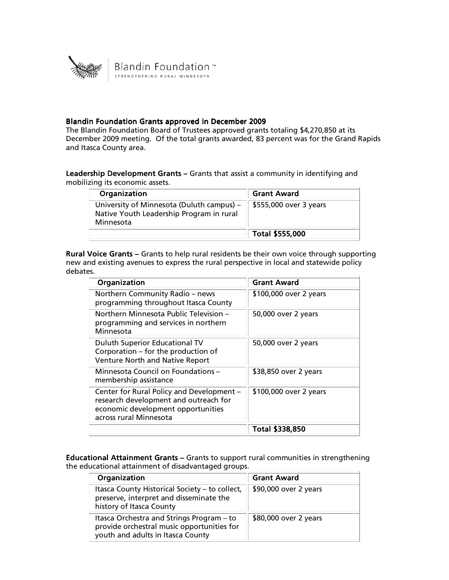

## Blandin Foundation Grants approved in December 2009

The Blandin Foundation Board of Trustees approved grants totaling \$4,270,850 at its December 2009 meeting. Of the total grants awarded, 83 percent was for the Grand Rapids and Itasca County area.

Leadership Development Grants - Grants that assist a community in identifying and mobilizing its economic assets.

| Organization                                                                                       | <b>Grant Award</b>     |
|----------------------------------------------------------------------------------------------------|------------------------|
| University of Minnesota (Duluth campus) –<br>Native Youth Leadership Program in rural<br>Minnesota | \$555,000 over 3 years |
|                                                                                                    | Total \$555,000        |

Rural Voice Grants - Grants to help rural residents be their own voice through supporting new and existing avenues to express the rural perspective in local and statewide policy debates.

| Organization                                                                                                                                       | <b>Grant Award</b>     |
|----------------------------------------------------------------------------------------------------------------------------------------------------|------------------------|
| Northern Community Radio - news<br>programming throughout Itasca County                                                                            | \$100,000 over 2 years |
| Northern Minnesota Public Television -<br>programming and services in northern<br>Minnesota                                                        | 50,000 over 2 years    |
| Duluth Superior Educational TV<br>Corporation - for the production of<br>Venture North and Native Report                                           | 50,000 over 2 years    |
| Minnesota Council on Foundations -<br>membership assistance                                                                                        | \$38,850 over 2 years  |
| Center for Rural Policy and Development -<br>research development and outreach for<br>economic development opportunities<br>across rural Minnesota | \$100,000 over 2 years |
|                                                                                                                                                    | Total \$338,850        |

Educational Attainment Grants – Grants to support rural communities in strengthening the educational attainment of disadvantaged groups.

| Organization                                                                                                                 | <b>Grant Award</b>    |
|------------------------------------------------------------------------------------------------------------------------------|-----------------------|
| Itasca County Historical Society - to collect,<br>preserve, interpret and disseminate the<br>history of Itasca County        | \$90,000 over 2 years |
| Itasca Orchestra and Strings Program – to<br>provide orchestral music opportunities for<br>youth and adults in Itasca County | \$80,000 over 2 years |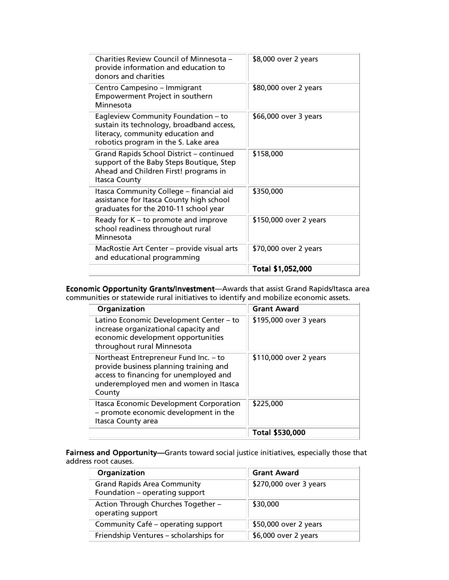| Charities Review Council of Minnesota -<br>provide information and education to<br>donors and charities                                                       | \$8,000 over 2 years   |
|---------------------------------------------------------------------------------------------------------------------------------------------------------------|------------------------|
| Centro Campesino - Immigrant<br>Empowerment Project in southern<br>Minnesota                                                                                  | \$80,000 over 2 years  |
| Eagleview Community Foundation - to<br>sustain its technology, broadband access,<br>literacy, community education and<br>robotics program in the S. Lake area | \$66,000 over 3 years  |
| Grand Rapids School District - continued<br>support of the Baby Steps Boutique, Step<br>Ahead and Children First! programs in<br><b>Itasca County</b>         | \$158,000              |
| Itasca Community College - financial aid<br>assistance for Itasca County high school<br>graduates for the 2010-11 school year                                 | \$350,000              |
| Ready for K - to promote and improve<br>school readiness throughout rural<br>Minnesota                                                                        | \$150,000 over 2 years |
| MacRostie Art Center - provide visual arts<br>and educational programming                                                                                     | \$70,000 over 2 years  |
|                                                                                                                                                               | Total \$1,052,000      |

Economic Opportunity Grants/Investment—Awards that assist Grand Rapids/Itasca area communities or statewide rural initiatives to identify and mobilize economic assets.

| Organization                                                                                                                                                                 | <b>Grant Award</b>     |
|------------------------------------------------------------------------------------------------------------------------------------------------------------------------------|------------------------|
| Latino Economic Development Center – to<br>increase organizational capacity and<br>economic development opportunities<br>throughout rural Minnesota                          | \$195,000 over 3 years |
| Northeast Entrepreneur Fund Inc. - to<br>provide business planning training and<br>access to financing for unemployed and<br>underemployed men and women in Itasca<br>County | \$110,000 over 2 years |
| Itasca Economic Development Corporation<br>- promote economic development in the<br>Itasca County area                                                                       | \$225,000              |
|                                                                                                                                                                              | Total \$530,000        |

Fairness and Opportunity—Grants toward social justice initiatives, especially those that address root causes.

| Organization                                                         | <b>Grant Award</b>     |
|----------------------------------------------------------------------|------------------------|
| <b>Grand Rapids Area Community</b><br>Foundation - operating support | \$270,000 over 3 years |
| Action Through Churches Together -<br>operating support              | \$30,000               |
| Community Café – operating support                                   | \$50,000 over 2 years  |
| Friendship Ventures - scholarships for                               | \$6,000 over 2 years   |